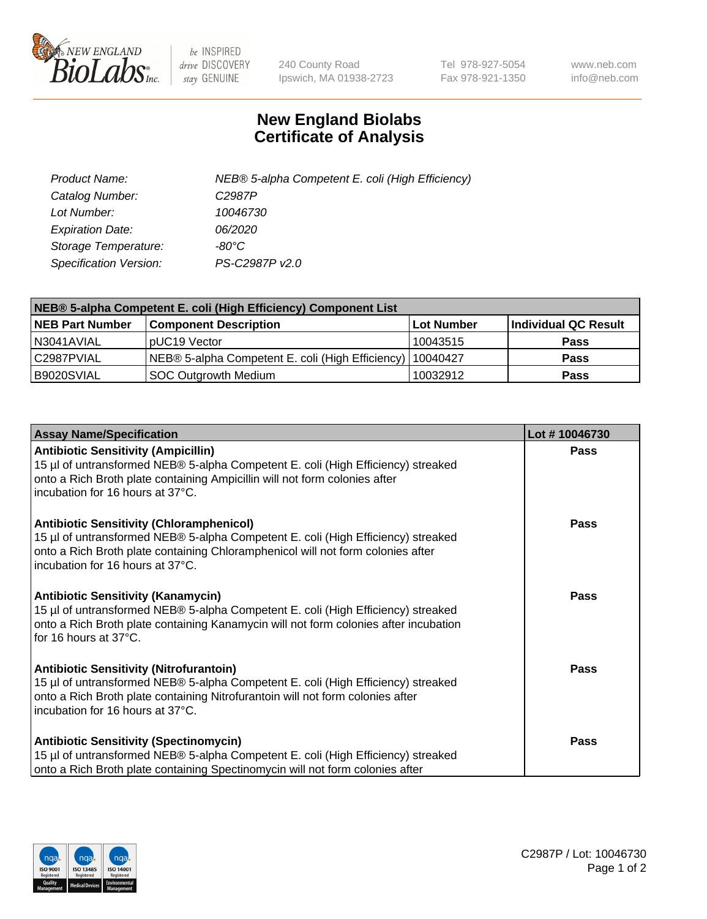

 $be$  INSPIRED drive DISCOVERY stay GENUINE

240 County Road Ipswich, MA 01938-2723 Tel 978-927-5054 Fax 978-921-1350 www.neb.com info@neb.com

## **New England Biolabs Certificate of Analysis**

| Product Name:                 | NEB® 5-alpha Competent E. coli (High Efficiency) |
|-------------------------------|--------------------------------------------------|
| Catalog Number:               | C <sub>2987</sub> P                              |
| Lot Number:                   | 10046730                                         |
| <b>Expiration Date:</b>       | <i>06/2020</i>                                   |
| Storage Temperature:          | -80°C                                            |
| <b>Specification Version:</b> | PS-C2987P v2.0                                   |

| NEB® 5-alpha Competent E. coli (High Efficiency) Component List |                                                  |            |                      |  |
|-----------------------------------------------------------------|--------------------------------------------------|------------|----------------------|--|
| <b>NEB Part Number</b>                                          | <b>Component Description</b>                     | Lot Number | Individual QC Result |  |
| N3041AVIAL                                                      | pUC19 Vector                                     | 10043515   | <b>Pass</b>          |  |
| C2987PVIAL                                                      | NEB® 5-alpha Competent E. coli (High Efficiency) | 10040427   | <b>Pass</b>          |  |
| B9020SVIAL                                                      | SOC Outgrowth Medium                             | 10032912   | <b>Pass</b>          |  |

| <b>Assay Name/Specification</b>                                                                                                                                                                                                                            | Lot #10046730 |
|------------------------------------------------------------------------------------------------------------------------------------------------------------------------------------------------------------------------------------------------------------|---------------|
| <b>Antibiotic Sensitivity (Ampicillin)</b><br>15 µl of untransformed NEB® 5-alpha Competent E. coli (High Efficiency) streaked<br>onto a Rich Broth plate containing Ampicillin will not form colonies after<br>incubation for 16 hours at 37°C.           | <b>Pass</b>   |
| <b>Antibiotic Sensitivity (Chloramphenicol)</b><br>15 µl of untransformed NEB® 5-alpha Competent E. coli (High Efficiency) streaked<br>onto a Rich Broth plate containing Chloramphenicol will not form colonies after<br>incubation for 16 hours at 37°C. | <b>Pass</b>   |
| <b>Antibiotic Sensitivity (Kanamycin)</b><br>15 µl of untransformed NEB® 5-alpha Competent E. coli (High Efficiency) streaked<br>onto a Rich Broth plate containing Kanamycin will not form colonies after incubation<br>for 16 hours at 37°C.             | Pass          |
| <b>Antibiotic Sensitivity (Nitrofurantoin)</b><br>15 µl of untransformed NEB® 5-alpha Competent E. coli (High Efficiency) streaked<br>onto a Rich Broth plate containing Nitrofurantoin will not form colonies after<br>incubation for 16 hours at 37°C.   | Pass          |
| <b>Antibiotic Sensitivity (Spectinomycin)</b><br>15 µl of untransformed NEB® 5-alpha Competent E. coli (High Efficiency) streaked<br>onto a Rich Broth plate containing Spectinomycin will not form colonies after                                         | Pass          |